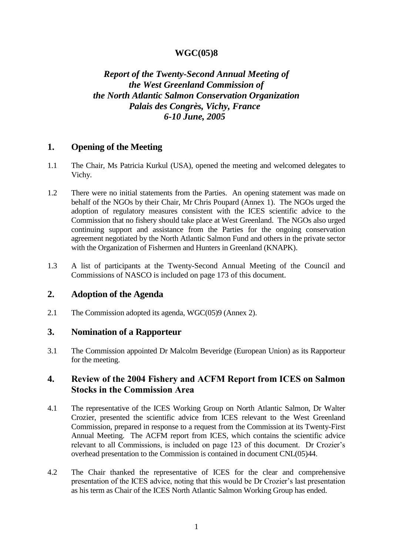### **WGC(05)8**

# *Report of the Twenty-Second Annual Meeting of the West Greenland Commission of the North Atlantic Salmon Conservation Organization Palais des Congrès, Vichy, France 6-10 June, 2005*

### **1. Opening of the Meeting**

- 1.1 The Chair, Ms Patricia Kurkul (USA), opened the meeting and welcomed delegates to Vichy.
- 1.2 There were no initial statements from the Parties. An opening statement was made on behalf of the NGOs by their Chair, Mr Chris Poupard (Annex 1). The NGOs urged the adoption of regulatory measures consistent with the ICES scientific advice to the Commission that no fishery should take place at West Greenland. The NGOs also urged continuing support and assistance from the Parties for the ongoing conservation agreement negotiated by the North Atlantic Salmon Fund and others in the private sector with the Organization of Fishermen and Hunters in Greenland (KNAPK).
- 1.3 A list of participants at the Twenty-Second Annual Meeting of the Council and Commissions of NASCO is included on page 173 of this document.

### **2. Adoption of the Agenda**

2.1 The Commission adopted its agenda, WGC(05)9 (Annex 2).

### **3. Nomination of a Rapporteur**

3.1 The Commission appointed Dr Malcolm Beveridge (European Union) as its Rapporteur for the meeting.

### **4. Review of the 2004 Fishery and ACFM Report from ICES on Salmon Stocks in the Commission Area**

- 4.1 The representative of the ICES Working Group on North Atlantic Salmon, Dr Walter Crozier, presented the scientific advice from ICES relevant to the West Greenland Commission, prepared in response to a request from the Commission at its Twenty-First Annual Meeting. The ACFM report from ICES, which contains the scientific advice relevant to all Commissions, is included on page 123 of this document. Dr Crozier's overhead presentation to the Commission is contained in document CNL(05)44.
- 4.2 The Chair thanked the representative of ICES for the clear and comprehensive presentation of the ICES advice, noting that this would be Dr Crozier's last presentation as his term as Chair of the ICES North Atlantic Salmon Working Group has ended.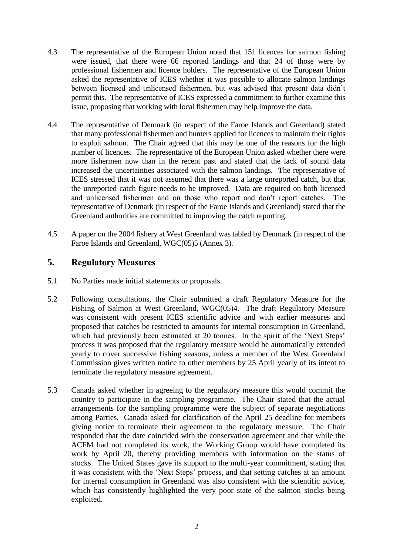- 4.3 The representative of the European Union noted that 151 licences for salmon fishing were issued, that there were 66 reported landings and that 24 of those were by professional fishermen and licence holders. The representative of the European Union asked the representative of ICES whether it was possible to allocate salmon landings between licensed and unlicensed fishermen, but was advised that present data didn't permit this. The representative of ICES expressed a commitment to further examine this issue, proposing that working with local fishermen may help improve the data.
- 4.4 The representative of Denmark (in respect of the Faroe Islands and Greenland) stated that many professional fishermen and hunters applied for licences to maintain their rights to exploit salmon. The Chair agreed that this may be one of the reasons for the high number of licences. The representative of the European Union asked whether there were more fishermen now than in the recent past and stated that the lack of sound data increased the uncertainties associated with the salmon landings. The representative of ICES stressed that it was not assumed that there was a large unreported catch, but that the unreported catch figure needs to be improved. Data are required on both licensed and unlicensed fishermen and on those who report and don't report catches. The representative of Denmark (in respect of the Faroe Islands and Greenland) stated that the Greenland authorities are committed to improving the catch reporting.
- 4.5 A paper on the 2004 fishery at West Greenland was tabled by Denmark (in respect of the Faroe Islands and Greenland, WGC(05)5 (Annex 3).

### **5. Regulatory Measures**

- 5.1 No Parties made initial statements or proposals.
- 5.2 Following consultations, the Chair submitted a draft Regulatory Measure for the Fishing of Salmon at West Greenland, WGC(05)4. The draft Regulatory Measure was consistent with present ICES scientific advice and with earlier measures and proposed that catches be restricted to amounts for internal consumption in Greenland, which had previously been estimated at 20 tonnes. In the spirit of the 'Next Steps' process it was proposed that the regulatory measure would be automatically extended yearly to cover successive fishing seasons, unless a member of the West Greenland Commission gives written notice to other members by 25 April yearly of its intent to terminate the regulatory measure agreement.
- 5.3 Canada asked whether in agreeing to the regulatory measure this would commit the country to participate in the sampling programme. The Chair stated that the actual arrangements for the sampling programme were the subject of separate negotiations among Parties. Canada asked for clarification of the April 25 deadline for members giving notice to terminate their agreement to the regulatory measure. The Chair responded that the date coincided with the conservation agreement and that while the ACFM had not completed its work, the Working Group would have completed its work by April 20, thereby providing members with information on the status of stocks. The United States gave its support to the multi-year commitment, stating that it was consistent with the 'Next Steps' process, and that setting catches at an amount for internal consumption in Greenland was also consistent with the scientific advice, which has consistently highlighted the very poor state of the salmon stocks being exploited.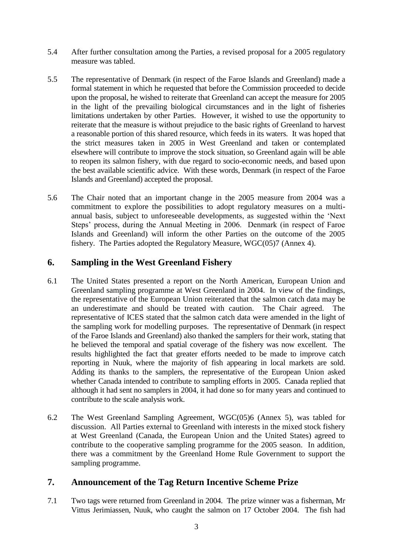- 5.4 After further consultation among the Parties, a revised proposal for a 2005 regulatory measure was tabled.
- 5.5 The representative of Denmark (in respect of the Faroe Islands and Greenland) made a formal statement in which he requested that before the Commission proceeded to decide upon the proposal, he wished to reiterate that Greenland can accept the measure for 2005 in the light of the prevailing biological circumstances and in the light of fisheries limitations undertaken by other Parties. However, it wished to use the opportunity to reiterate that the measure is without prejudice to the basic rights of Greenland to harvest a reasonable portion of this shared resource, which feeds in its waters. It was hoped that the strict measures taken in 2005 in West Greenland and taken or contemplated elsewhere will contribute to improve the stock situation, so Greenland again will be able to reopen its salmon fishery, with due regard to socio-economic needs, and based upon the best available scientific advice. With these words, Denmark (in respect of the Faroe Islands and Greenland) accepted the proposal.
- 5.6 The Chair noted that an important change in the 2005 measure from 2004 was a commitment to explore the possibilities to adopt regulatory measures on a multiannual basis, subject to unforeseeable developments, as suggested within the 'Next Steps' process, during the Annual Meeting in 2006. Denmark (in respect of Faroe Islands and Greenland) will inform the other Parties on the outcome of the 2005 fishery. The Parties adopted the Regulatory Measure, WGC(05)7 (Annex 4).

## **6. Sampling in the West Greenland Fishery**

- 6.1 The United States presented a report on the North American, European Union and Greenland sampling programme at West Greenland in 2004. In view of the findings, the representative of the European Union reiterated that the salmon catch data may be an underestimate and should be treated with caution. The Chair agreed. The representative of ICES stated that the salmon catch data were amended in the light of the sampling work for modelling purposes. The representative of Denmark (in respect of the Faroe Islands and Greenland) also thanked the samplers for their work, stating that he believed the temporal and spatial coverage of the fishery was now excellent. The results highlighted the fact that greater efforts needed to be made to improve catch reporting in Nuuk, where the majority of fish appearing in local markets are sold. Adding its thanks to the samplers, the representative of the European Union asked whether Canada intended to contribute to sampling efforts in 2005. Canada replied that although it had sent no samplers in 2004, it had done so for many years and continued to contribute to the scale analysis work.
- 6.2 The West Greenland Sampling Agreement, WGC(05)6 (Annex 5), was tabled for discussion. All Parties external to Greenland with interests in the mixed stock fishery at West Greenland (Canada, the European Union and the United States) agreed to contribute to the cooperative sampling programme for the 2005 season. In addition, there was a commitment by the Greenland Home Rule Government to support the sampling programme.

## **7. Announcement of the Tag Return Incentive Scheme Prize**

7.1 Two tags were returned from Greenland in 2004. The prize winner was a fisherman, Mr Vittus Jerimiassen, Nuuk, who caught the salmon on 17 October 2004. The fish had